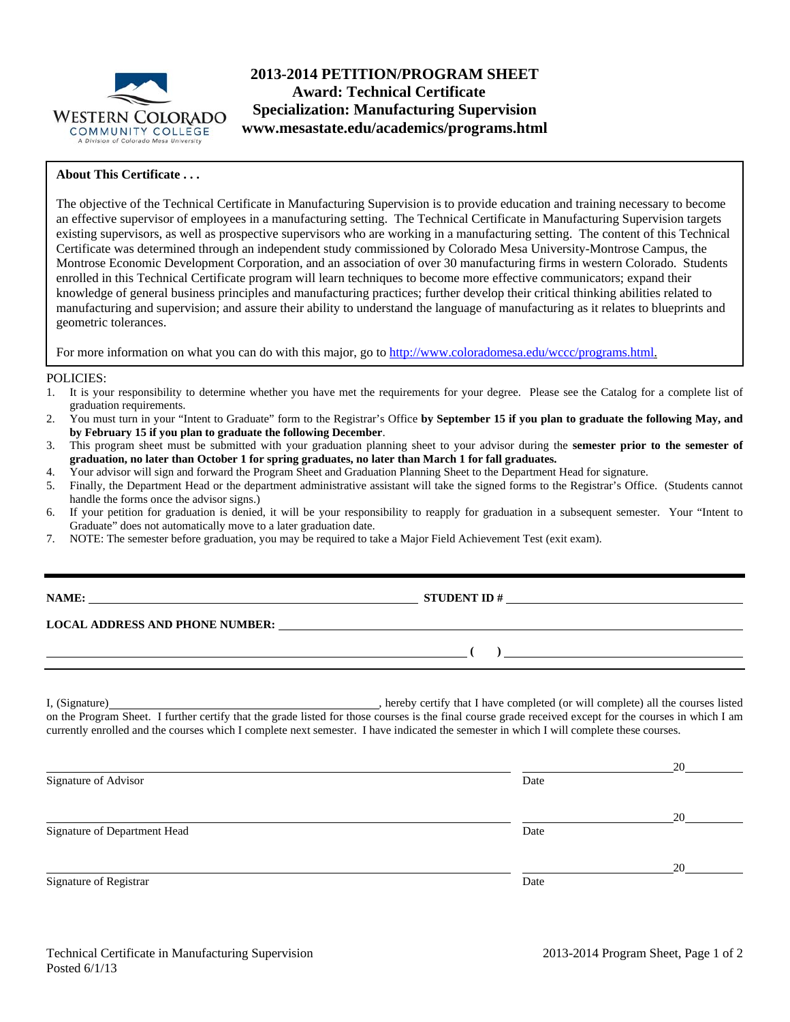

## **2013-2014 PETITION/PROGRAM SHEET Award: Technical Certificate Specialization: Manufacturing Supervision www.mesastate.edu/academics/programs.html**

### **About This Certificate . . .**

The objective of the Technical Certificate in Manufacturing Supervision is to provide education and training necessary to become an effective supervisor of employees in a manufacturing setting. The Technical Certificate in Manufacturing Supervision targets existing supervisors, as well as prospective supervisors who are working in a manufacturing setting. The content of this Technical Certificate was determined through an independent study commissioned by Colorado Mesa University-Montrose Campus, the Montrose Economic Development Corporation, and an association of over 30 manufacturing firms in western Colorado. Students enrolled in this Technical Certificate program will learn techniques to become more effective communicators; expand their knowledge of general business principles and manufacturing practices; further develop their critical thinking abilities related to manufacturing and supervision; and assure their ability to understand the language of manufacturing as it relates to blueprints and geometric tolerances.

For more information on what you can do with this major, go to http://www.coloradomesa.edu/wccc/programs.html.

### POLICIES:

- 1. It is your responsibility to determine whether you have met the requirements for your degree. Please see the Catalog for a complete list of graduation requirements.
- 2. You must turn in your "Intent to Graduate" form to the Registrar's Office **by September 15 if you plan to graduate the following May, and by February 15 if you plan to graduate the following December**.
- 3. This program sheet must be submitted with your graduation planning sheet to your advisor during the **semester prior to the semester of graduation, no later than October 1 for spring graduates, no later than March 1 for fall graduates.**
- 4. Your advisor will sign and forward the Program Sheet and Graduation Planning Sheet to the Department Head for signature.
- 5. Finally, the Department Head or the department administrative assistant will take the signed forms to the Registrar's Office. (Students cannot handle the forms once the advisor signs.)
- 6. If your petition for graduation is denied, it will be your responsibility to reapply for graduation in a subsequent semester. Your "Intent to Graduate" does not automatically move to a later graduation date.
- 7. NOTE: The semester before graduation, you may be required to take a Major Field Achievement Test (exit exam).

| NAME:                                  | <b>STUDENT ID#</b> |  |  |
|----------------------------------------|--------------------|--|--|
| <b>LOCAL ADDRESS AND PHONE NUMBER:</b> |                    |  |  |
|                                        |                    |  |  |
|                                        |                    |  |  |

I, (Signature) , hereby certify that I have completed (or will complete) all the courses listed on the Program Sheet. I further certify that the grade listed for those courses is the final course grade received except for the courses in which I am currently enrolled and the courses which I complete next semester. I have indicated the semester in which I will complete these courses.

|                              |      | 20 |
|------------------------------|------|----|
| Signature of Advisor         | Date |    |
|                              |      | 20 |
| Signature of Department Head | Date |    |
|                              |      | 20 |
| Signature of Registrar       | Date |    |